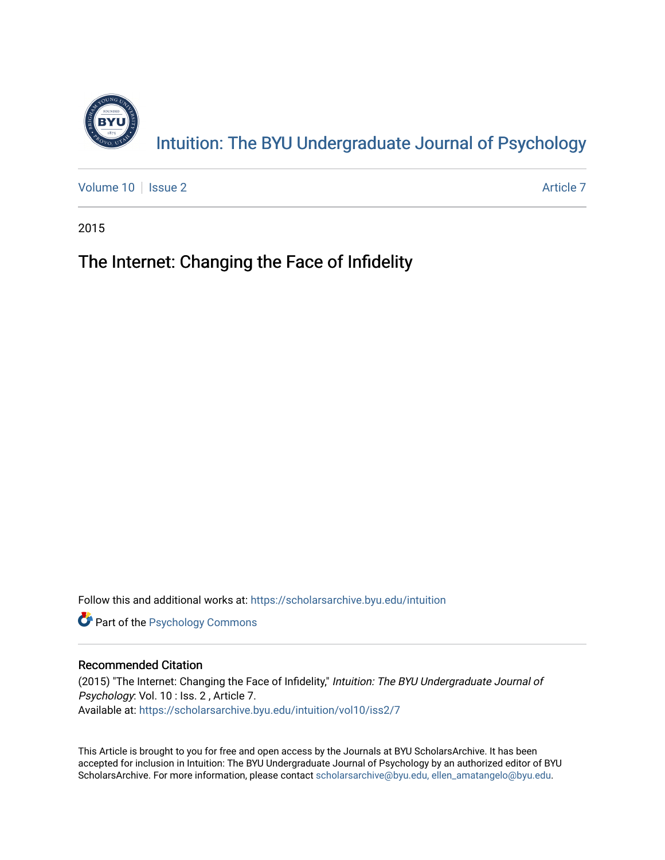

[Volume 10](https://scholarsarchive.byu.edu/intuition/vol10) | [Issue 2](https://scholarsarchive.byu.edu/intuition/vol10/iss2) Article 7

2015

# The Internet: Changing the Face of Infidelity

Follow this and additional works at: [https://scholarsarchive.byu.edu/intuition](https://scholarsarchive.byu.edu/intuition?utm_source=scholarsarchive.byu.edu%2Fintuition%2Fvol10%2Fiss2%2F7&utm_medium=PDF&utm_campaign=PDFCoverPages) 

**Part of the Psychology Commons** 

# Recommended Citation

(2015) "The Internet: Changing the Face of Infidelity," Intuition: The BYU Undergraduate Journal of Psychology: Vol. 10 : Iss. 2 , Article 7. Available at: [https://scholarsarchive.byu.edu/intuition/vol10/iss2/7](https://scholarsarchive.byu.edu/intuition/vol10/iss2/7?utm_source=scholarsarchive.byu.edu%2Fintuition%2Fvol10%2Fiss2%2F7&utm_medium=PDF&utm_campaign=PDFCoverPages) 

This Article is brought to you for free and open access by the Journals at BYU ScholarsArchive. It has been accepted for inclusion in Intuition: The BYU Undergraduate Journal of Psychology by an authorized editor of BYU ScholarsArchive. For more information, please contact [scholarsarchive@byu.edu, ellen\\_amatangelo@byu.edu.](mailto:scholarsarchive@byu.edu,%20ellen_amatangelo@byu.edu)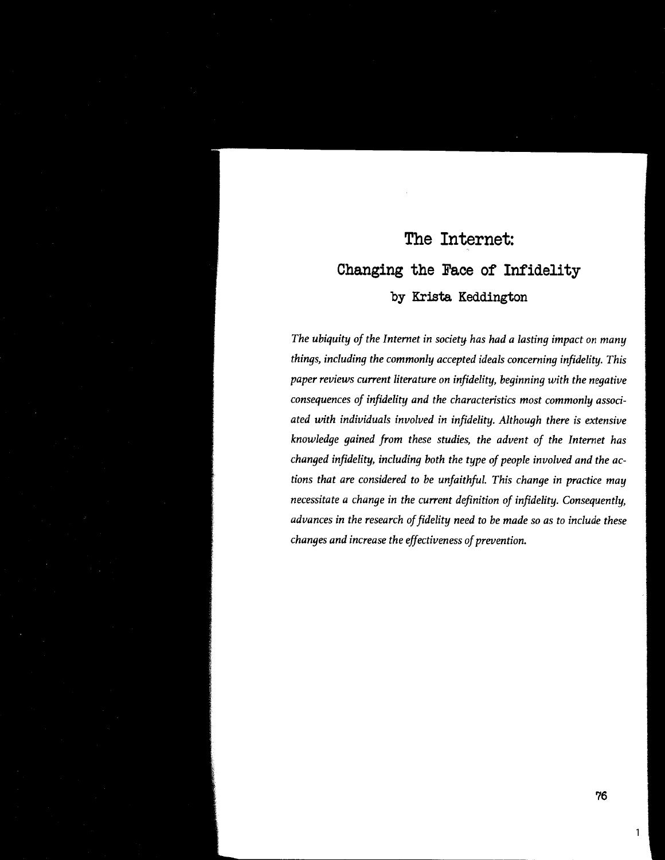# **The Internet: Changing the Face of Infidelity by Krista Keddington**

*The ubiquity of the Internet in society has had a lasting impact on many things, including the commonly accepted ideals concerning infidelity. This paper reviews current literature on infidelity, beginning with the negative consequences of infidelity and the characteristics most commonly associated with individuals involved in infidelity. Although there is extensive knowledge gained from these studies, the advent of the Internet has changed infidelity, including both the type of people involved and the actions that are considered to be unfaithful. This change in practice may necessitate a change in the current definition of infidelity. Consequently, advances in the research of fidelity need to be made so as to include these changes and increase the effectiveness of prevention.* 

1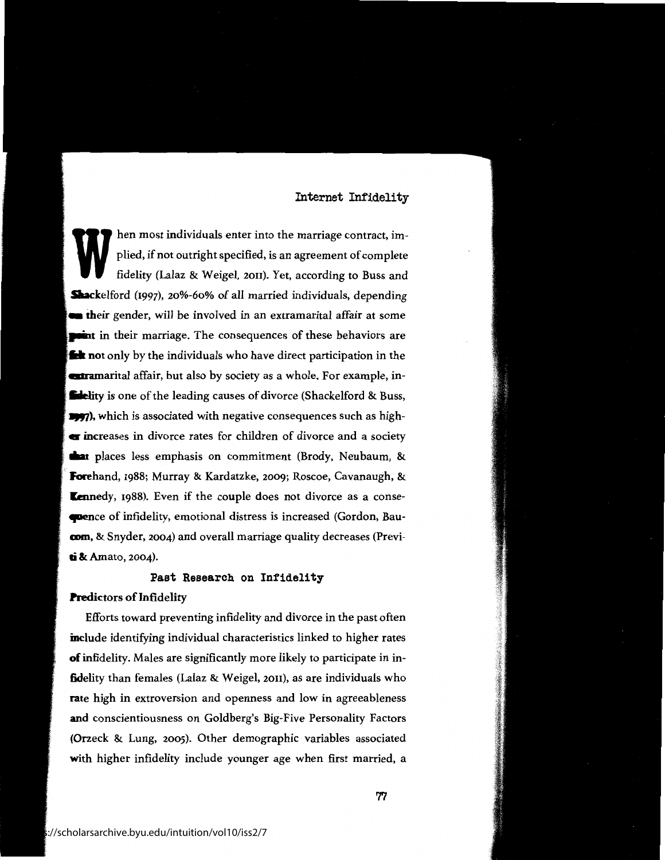hen most individuals enter into the marriage contract, implied, if not outright specified, is an agreement of complete fidelity (Lalaz & Weigel, 2011). Yet, according to Buss and **Shackelford** (1997), 20%-60% of all married individuals, depending **their** gender, will be involved in an extramarital affair at some **<u>raint</u>** in their marriage. The consequences of these behaviors are **M** not only by the individuals who have direct participation in the **attamarital** affair, but also by society as a whole. For example, in-**Edelity** is one of the leading causes of divorce (Shackelford & Buss, **11677), which is associated with negative consequences such as high-** $\blacksquare$  increases in divorce rates for children of divorce and a society **1 1** places less emphasis on commitment (Brody, Neubaum, & **Forehand,** 1988; Murray & Kardatzke, 2009; Roscoe, Cavanaugh, & **Kennedy, 1988).** Even if the couple does not divorce as a conse**tpence** of infidelity, emotional distress is increased (Gordon, Bau**com**, & Snyder, 2004) and overall marriage quality decreases (Previ**li** & Amato, 2004).

# **Past Research** on Infidelity

#### **Predictors** of Infidelity

Efforts toward preventing infidelity and divorce in the past often include identifying individual characteristics linked to higher rates **of** infidelity. Males are significantly more likely to participate in in**fidelity** than females (Lalaz & Weigel, 2011), as are individuals who **rate** high in extroversion and openness and low in agreeableness **and** conscientiousness on Goldberg's Big-Five Personality Factors (Orzeck & Lung, 2005). Other demographic variables associated **with** higher infidelity include younger age when first married, a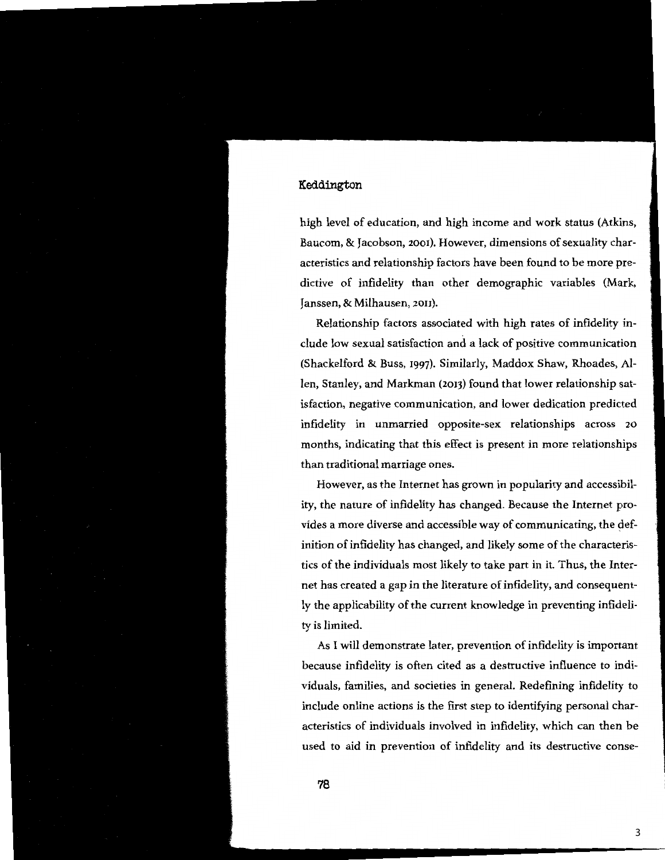high level of education, and high income and work status (Atkins, Baucom, & Jacobson, 2001). However, dimensions of sexuality characteristics and relationship factors have been found to be more predictive of infidelity than other demographic variables (Mark, Janssen, & Milhausen, 2011).

Relationship factors associated with high rates of infidelity include low sexual satisfaction and a lack of positive communication (Shackelford & Buss, 1997). Similarly, Maddox Shaw, Rhoades, Allen, Stanley, and Markman (2013) found that lower relationship satisfaction, negative communication, and lower dedication predicted infidelity in unmarried opposite-sex relationships across 20 months, indicating that this effect is present in more relationships than traditional marriage ones.

However, as the Internet has grown in popularity and accessibility, the nature of infidelity has changed. Because the Internet provides a more diverse and accessible way of communicating, the definition of infidelity has changed, and likely some of the characteristics of the individuals most likely to take part in it. Thus, the Internet has created a gap in the literature of infidelity, and consequently the applicability of the current knowledge in preventing infidelity is limited.

As I will demonstrate later, prevention of infidelity is important because infidelity is often cited as a destructive influence to individuals, families, and societies in general. Redefining infidelity to include online actions is the first step to identifying personal characteristics of individuals involved in infidelity, which can then be used to aid in prevention of infidelity and its destructive conse-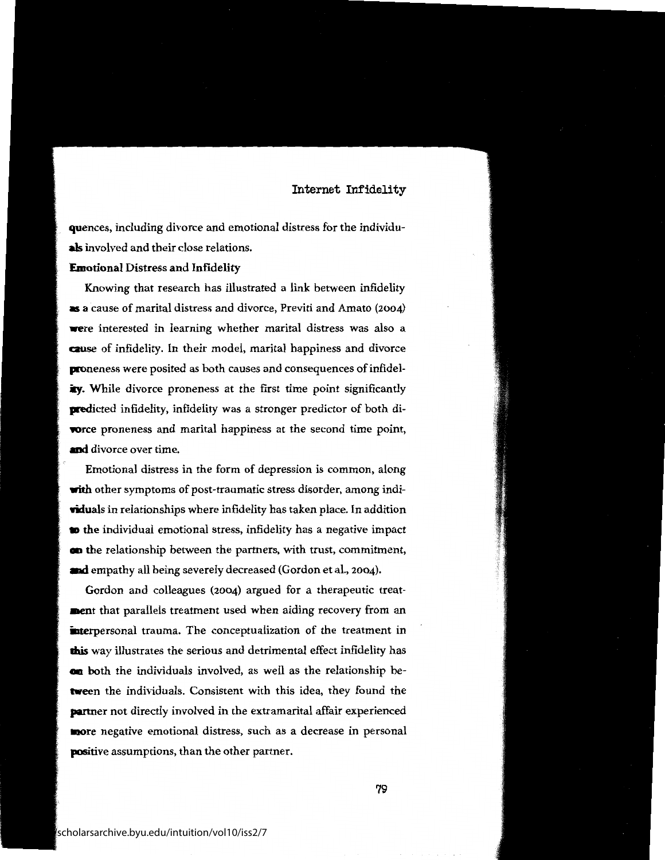quences, including divorce and emotional distress for the individu**als** involved and their close relations.

#### **Emotional** Distress and Infidelity

Knowing that research has illustrated a link between infidelity • **<sup>a</sup>**cause of marital distress and divorce, Previti and Amato (2004) **were** interested in learning whether marital distress was also a **cause** of infidelity. In their model, marital happiness and divorce proneness were posited as both causes and consequences of infidelity. While divorce proneness at the first time point significantly **predicted infidelity, infidelity was a stronger predictor of both diwrce** proneness and marital happiness at the second time point, **and** divorce over time.

Emotional distress in the form of depression is common, along with other symptoms of post-traumatic stress disorder, among indi-**Yiduals** in relationships where infidelity has taken place. In addition **to** the individual emotional stress, infidelity has a negative impact **cm** the relationship between the partners, with trust, commitment, **and** empathy all being severely decreased (Gordon et al., 2004).

Gordon and colleagues (2004) argued for a therapeutic treat**ment** that parallels treatment used when aiding recovery from an interpersonal trauma. The conceptualization of the treatment in **mis** way illustrates the serious and detrimental effect infidelity has **cm** both the individuals involved, as well as the relationship be**tween** the individuals. Consistent with this idea, they found the **partner** not directly involved in the extramarital affair experienced **more** negative emotional distress, such as a decrease in personal **positive** assumptions, than the other partner.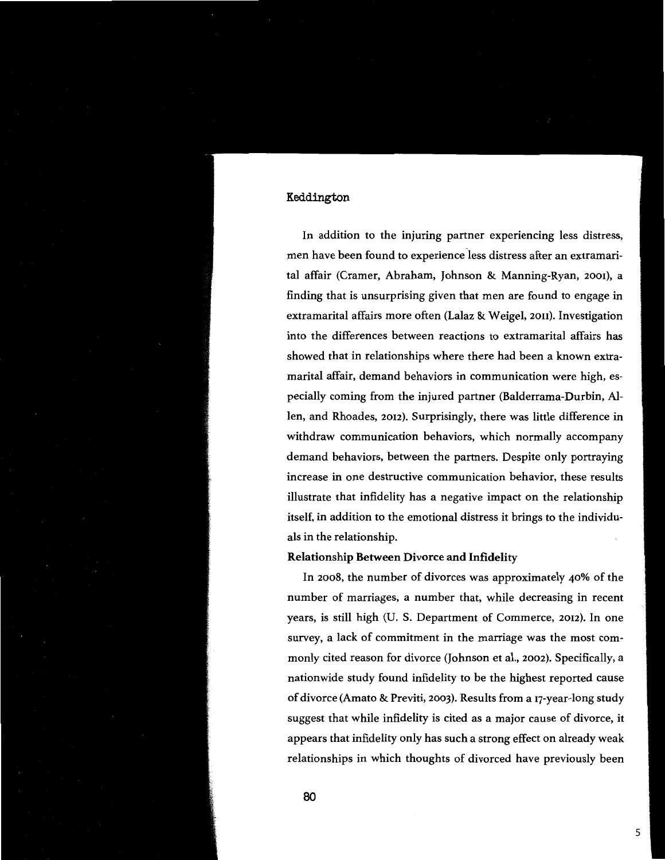In addition to the injuring partner experiencing less distress, men have been found to experience less distress after an extramarital affair (Cramer, Abraham, Johnson & Manning-Ryan, 2001), a finding that is unsurprising given that men are found to engage in extramarital affairs more often (Lalaz & Weigel, 2011). Investigation into the differences between reactions to extramarital affairs has showed that in relationships where there had been a known extramarital affair, demand behaviors in communication were high, especially coming from the injured partner (Balderrama-Durbin, Allen, and Rhoades, 2012). Surprisingly, there was little difference in withdraw communication behaviors, which normally accompany demand behaviors, between the partners. Despite only portraying increase in one destructive communication behavior, these results illustrate that infidelity has a negative impact on the relationship itself, in addition to the emotional distress it brings to the individuals in the relationship.

#### **Relationship Between Divorce and Infidelity**

In 2008, the number of divorces was approximately 40% of the number of marriages, a number that, while decreasing in recent years, is still high (U. S. Department of Commerce, 2012). In one survey, a lack of commitment in the marriage was the most commonly cited reason for divorce (Johnson et al., 2002). Specifically, a nationwide study found infidelity to be the highest reported cause of divorce (Amato & Previti, 2003). Results from a 17-year-long study suggest that while infidelity is cited as a major cause of divorce, it appears that infidelity only has such a strong effect on already weak relationships in which thoughts of divorced have previously been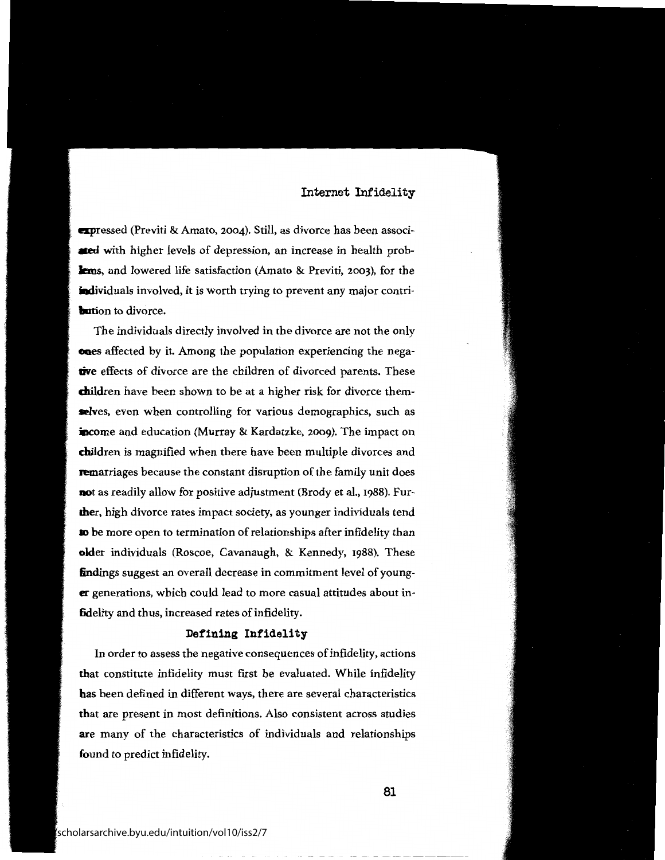**apressed** (Previti & Amato, 2004). Still, as divorce has been associated with higher levels of depression, an increase in health prob**lems**, and lowered life satisfaction (Amato & Previti, 2003), for the individuals involved, it is worth trying to prevent any major contri**bution** to divorce.

The individuals directly involved in the divorce are not the only **enes** affected by it. Among the population experiencing the nega**tive** effects of divorce are the children of divorced parents. These children have been shown to be at a higher risk for divorce them**selves,** even when controlling for various demographics, such as income and education (Murray & Kardatzke, 2009). The impact on children is magnified when there have been multiple divorces and remarriages because the constant disruption of the family unit does **not** as readily allow for positive adjustment (Brody et al., 1988). Fur**lher,** high divorce rates impact society, as younger individuals tend to be more open to termination of relationships after infidelity than **older** individuals (Roscoe, Cavanaugh, & Kennedy, 1988). These **findings** suggest an overall decrease in commitment level of young**er** generations, which could lead to more casual attitudes about in**fidelity** and thus, increased rates of infidelity.

#### **Defining Infidelity**

In order to assess the negative consequences of infidelity, actions **that** constitute infidelity must first be evaluated. While infidelity **has** been defined in different ways, there are several characteristics **that** are present in most definitions. Also consistent across studies **are** many of the characteristics of individuals and relationships found to predict infidelity.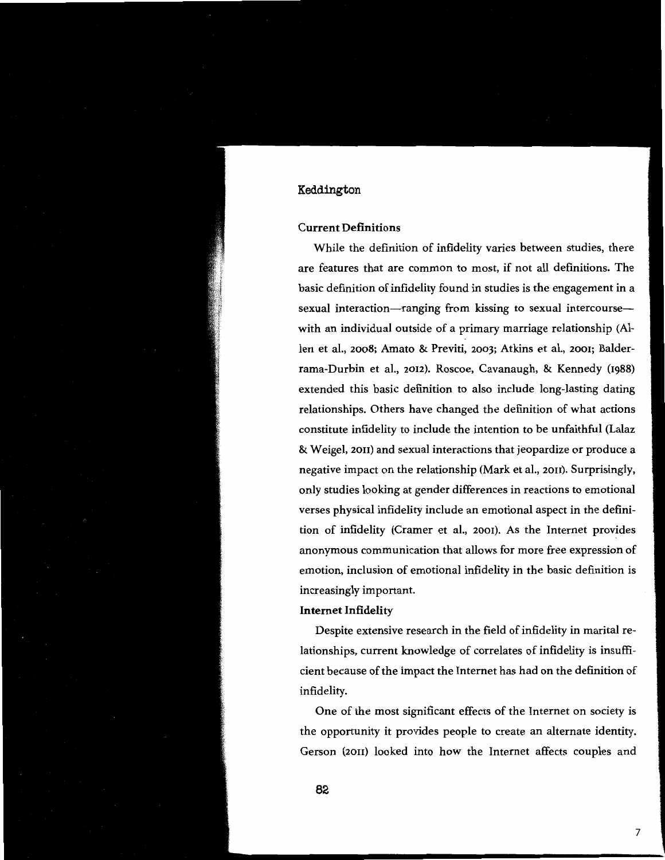#### **Current Definitions**

While the definition of infidelity varies between studies, there are features that are common to most, if not all definitions. The basic definition of infidelity found in studies is the engagement in a sexual interaction-ranging from kissing to sexual intercoursewith an individual outside of a primary marriage relationship (Allen et al., 2008; Amato & Previti, 2003; Atkins et al., 2001; Balderrama-Durbin et al., 2012). Roscoe, Cavanaugh, & Kennedy (1988) extended this basic definition to also include long-lasting dating relationships. Others have changed the definition of what actions constitute infidelity to include the intention to be unfaithful (Lalaz & Weigel, 2011) and sexual interactions that jeopardize or produce a negative impact on the relationship (Mark et al., 2011). Surprisingly, only studies looking at gender differences in reactions to emotional verses physical infidelity include an emotional aspect in the definition of infidelity (Cramer et al., 2001). As the Internet provides anonymous communication that allows for more free expression of emotion, inclusion of emotional infidelity in the basic definition is increasingly important.

#### **Internet Infidelity**

Despite extensive research in the field of infidelity in marital relationships, current knowledge of correlates of infidelity is insufficient because of the impact the Internet has had on the definition of infidelity.

One of the most significant effects of the Internet on society is the opportunity it provides people to create an alternate identity. Gerson (2011) looked into how the Internet affects couples and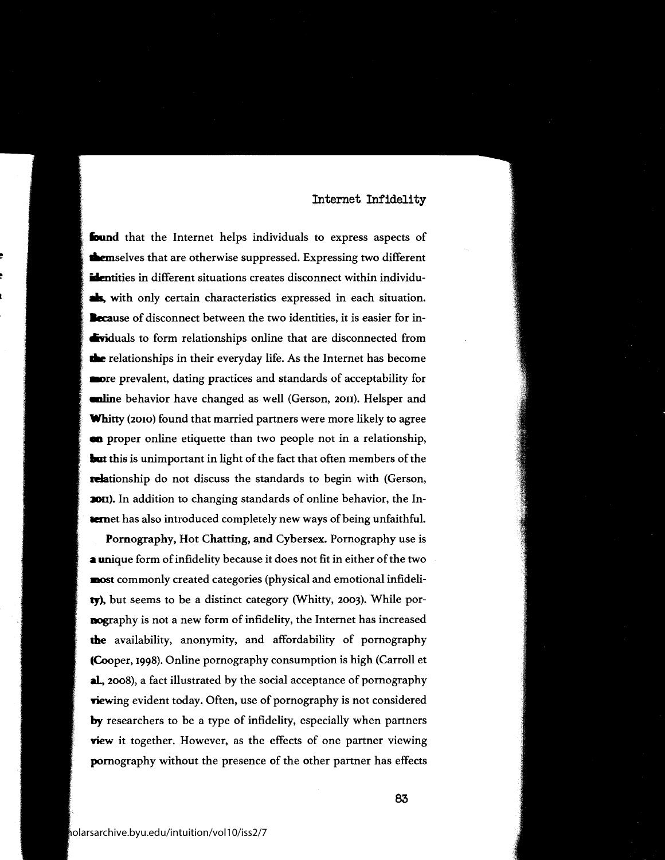found that the Internet helps individuals to express aspects of **themselves that are otherwise suppressed. Expressing two different** identities in different situations creates disconnect within individu**als**, with only certain characteristics expressed in each situation. **lecause** of disconnect between the two identities, it is easier for in **dividuals to form relationships online that are disconnected from** the relationships in their everyday life. As the Internet has become **aore** prevalent, dating practices and standards of acceptability for **anline** behavior have changed as well (Gerson, 2011). Helsper and **Whitty** (2010) found that married partners were more likely to agree **an** proper online etiquette than two people not in a relationship, **but** this is unimportant in light of the fact that often members of the relationship do not discuss the standards to begin with (Gerson, **2011**). In addition to changing standards of online behavior, the In**land** has also introduced completely new ways of being unfaithful.

Pornography, Hot Chatting, and Cybersex. Pornography use is **<sup>a</sup>**unique form of infidelity because it does not fit in either of the two **most** commonly created categories (physical and emotional infideli**ty).** but seems to be a distinct category (Whitty, 2003). While por**nography** is not a new form of infidelity, the Internet has increased **the** availability, anonymity, and affordability of pornography **CCooper,** 1998). Online pornography consumption is high (Carroll et **al,** 2008), a fact illustrated by the social acceptance of pornography **riewing** evident today. Often, use of pornography is not considered **by** researchers to be a type of infidelity, especially when partners **view** it together. However, as the effects of one partner viewing pornography without the presence of the other partner has effects

!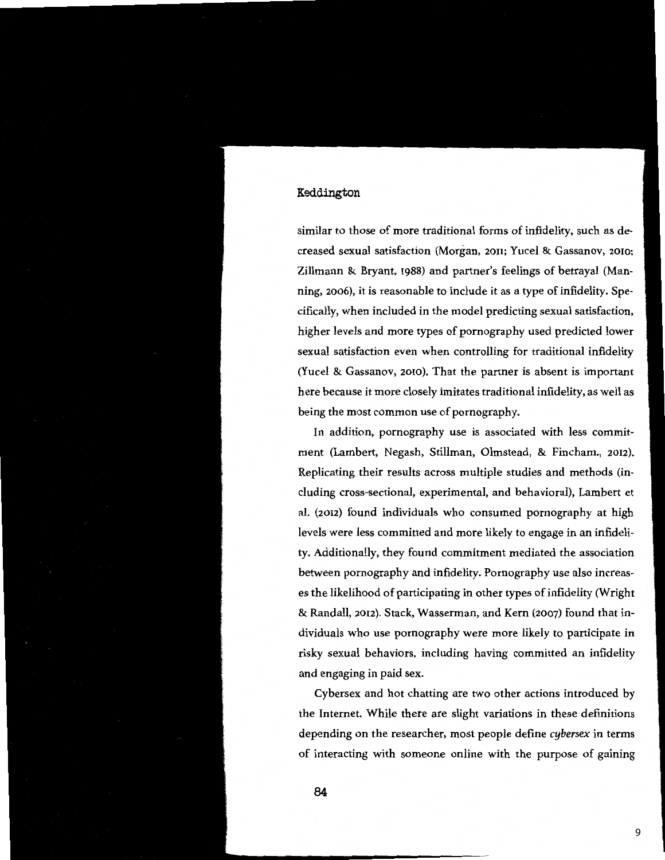similar to those of more traditional forms of infidelity, such as decreased sexual satisfaction (Morgan, 2011; Yucel & Gassanov, 2010; Zillmann & Bryant, 1988) and partner's feelings of betrayal (Manning, 2006), it is reasonable to include it as a type of infidelity. Specifically, when included in the model predicting sexual satisfaction, higher levels and more types of pornography used predicted lower sexual satisfaction even when controlling for traditional infidelity (Yucel & Gassanov, 2010). That the partner is absent is important here because it more closely imitates traditional infidelity, as well as being the most common use of pornography.

In addition, pornography use is associated with less commitment (Lambert, Negash, Stillman, Olmstead, & Fincham., 2012). Replicating their results across multiple studies and methods (including cross-sectional, experimental, and behavioral), Lambert et al. (2012) found individuals who consumed pornography at high levels were less committed and more likely to engage in an infidelity. Additionally, they found commitment mediated the association between pornography and infidelity. Pornography use also increases the likelihood of participating in other types of infidelity (Wright & Randall, 2012). Stack, Wasserman, and Kern (2007) found that individuals who use pornography were more likely to participate in risky sexual behaviors, including having committed an infidelity and engaging in paid sex.

Cybersex and hot chatting are two other actions introduced by the Internet. While there are slight variations in these definitions depending on the researcher, most people define *cybersex* in terms of interacting with someone online with the purpose of gaining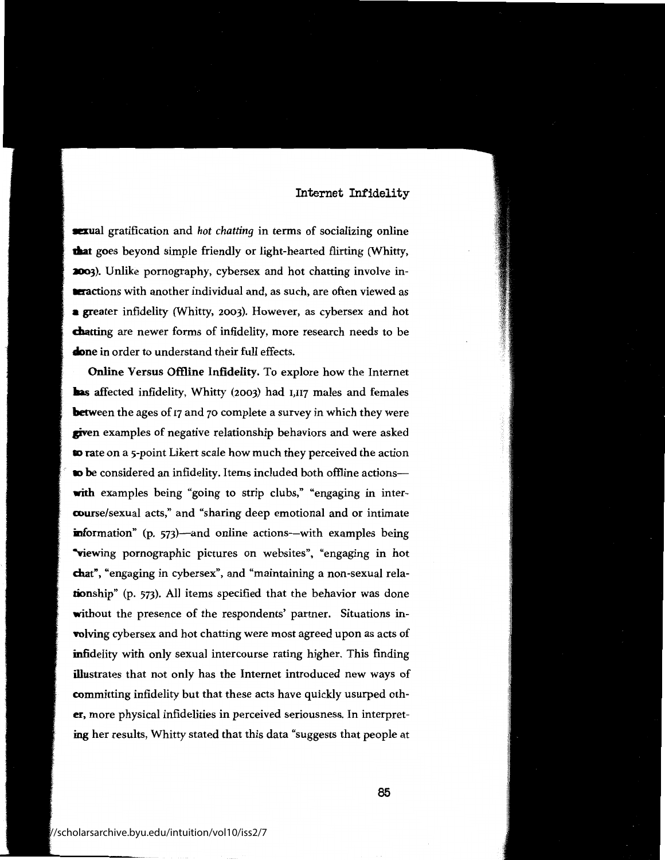**921** sexual gratification and *hot chatting* in terms of socializing online **daat** goes beyond simple friendly or light-hearted flirting (Whitty, **2003**). Unlike pornography, cybersex and hot chatting involve in**aractions** with another individual and, as such, are often viewed as **<sup>a</sup>**greater infidelity (Whitty, 2003). However, as cybersex and hot **chatting** are newer forms of infidelity, more research needs to be done in order to understand their full effects.

Online Versus Offline Infidelity. To explore how the Internet **has** affected infidelity, Whitty (2003) had 1,117 males and females **between** the ages of 17 and 70 complete a survey in which they were **given** examples of negative relationship behaviors and were asked ID rate on a 5-point Likert scale how much they perceived the action to be considered an infidelity. Items included both offline actionswith examples being "going to strip clubs," "engaging in intercourse/sexual acts," and "sharing deep emotional and or intimate **information**" (p. 573)—and online actions—with examples being **Viewing pornographic pictures on websites", "engaging in hot chat",** "engaging in cybersex", and "maintaining a non-sexual rela**tionship"** (p. 573). All items specified that the behavior was done **without** the presence of the respondents' partner. Situations in**volving** cybersex and hot chatting were most agreed upon as acts of infidelity with only sexual intercourse rating higher. This finding illustrates that not only has the Internet introduced new ways of committing infidelity but that these acts have quickly usurped oth**er,** more physical infidelities in perceived seriousness. In interpreting her results, Whitty stated that this data "suggests that people at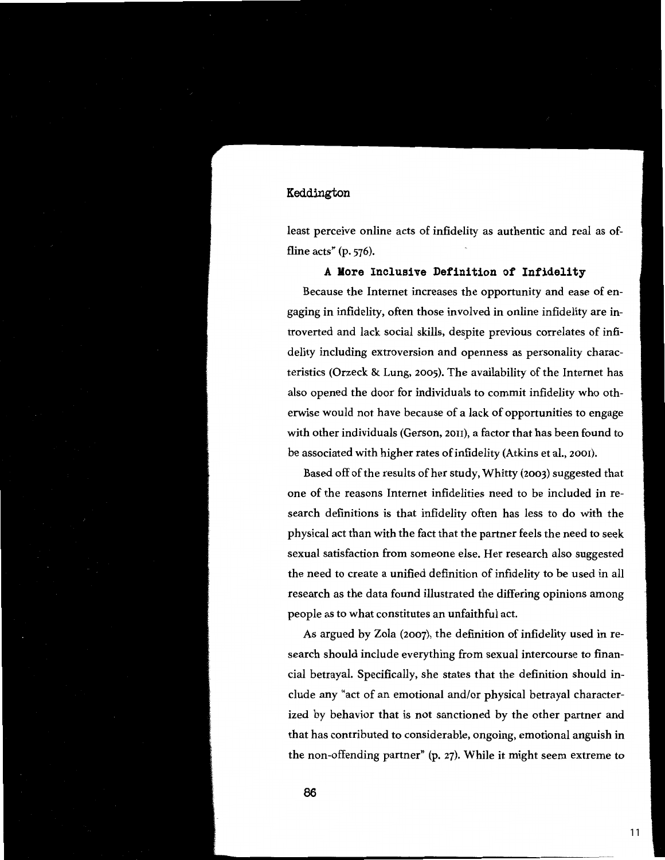least perceive online acts of infidelity as authentic and real as offline acts" (p. 576).

#### **A More Inclusive Definition of Infidelity**

Because the Internet increases the opportunity and ease of engaging in infidelity, often those involved in online infidelity are **in**troverted and lack social skills, despite previous correlates of infidelity including extroversion and openness as personality characteristics (Orzeck & Lung, 2005). The availability of the Internet has also opened the door for individuals to commit infidelity who otherwise would not have because of a lack of opportunities to engage with other individuals (Gerson, 2011), a factor that has been found to be associated with higher rates of infidelity (Atkins et al., 2001).

Based off of the results of her study, Whitty (2003) suggested that one of the reasons Internet infidelities need to be included in research definitions is that infidelity often has less to do with the physical act than with the fact that the partner feels the need to seek sexual satisfaction from someone else. Her research also suggested the need to create a unified definition of infidelity to be used in all research as the data found illustrated the differing opinions among people as to what constitutes an unfaithful act.

As argued by Zola (2007), the definition of infidelity used in research should include everything from sexual intercourse to financial betrayal. Specifically, she states that the definition should include any "act of an emotional and/or physical betrayal characterized by behavior that is not sanctioned by the other partner and that has contributed to considerable, ongoing, emotional anguish in the non-offending partner" (p. 27). While it might seem extreme to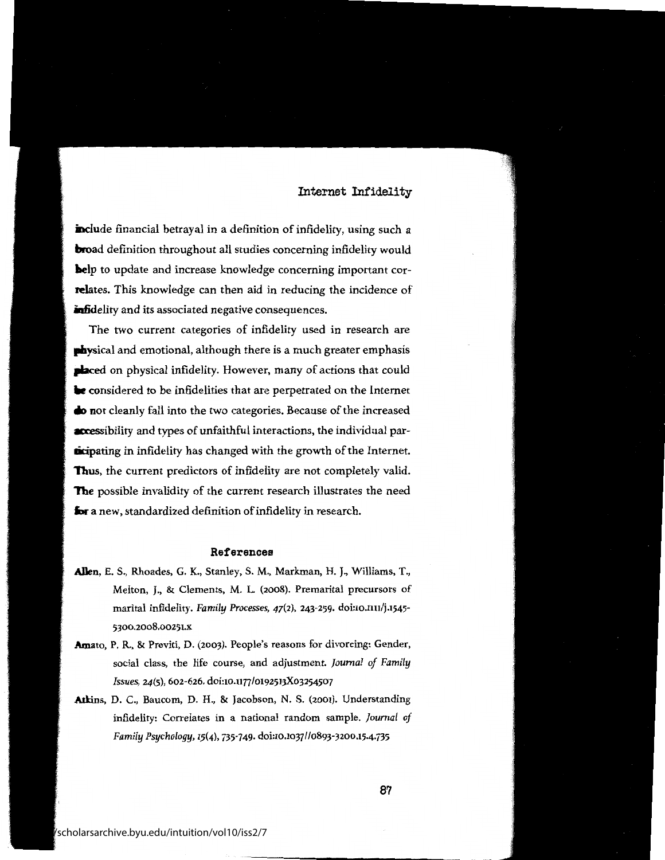include financial betrayal in a definition of infidelity, using such a **hroad** definition throughout all studies concerning infidelity would **help** to update and increase knowledge concerning important correlates. This knowledge can then aid in reducing the incidence of infidelity and its associated negative consequences.

The two current categories of infidelity used in research are **pliysical** and emotional, although there is a much greater emphasis **placed** on physical infidelity. However, many of actions that could **be** considered to be infidelities that are perpetrated on the Internet • **not** cleanly fall into the two categories. Because of the increased **accessibility and types of unfaithful interactions, the individual par**ticipating in infidelity has changed with the growth of the Internet. Thus, the current predictors of infidelity are not completely valid. **The** possible invalidity of the current research illustrates the need **for a** new, standardized definition of infidelity in research.

#### References

- **Allen,** E. S., Rhoades, G. K., Stanley, S. M., Markman, H.J., Williams, T., Melton, J., & Clements, M. L. (2008). Premarital precursors of marital infidelity. *Family Processes,* 47(2), 243-259. doi:10.nn/j.1545- 5300.2008.00251.x
- **Amato,** P.R., & Previti, D. (2003). People's reasons for divorcing: Gender, social class, the life course, and adjustment. *Journal of Family Issues,* 24(5), 602-626. doi:10.n77/0192513Xo3254507
- Atkins, D. C., Baucom, D. H., & Jacobson, N. S. (2001). Understanding infidelity: Correlates in a national random sample. *Journal of Family Psychology,* 15(4), 735-749. doi:10.1037//0893-3200.15.4.735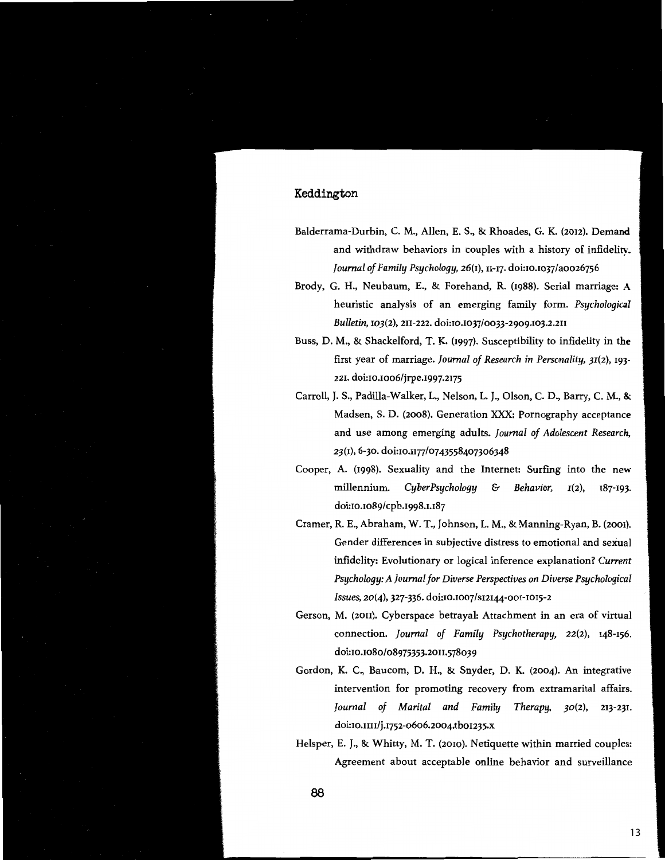- Balderrama-Durbin, C. M., Allen, E. S., & Rhoades, G. K. (2012). Demand and withdraw behaviors in couples with a history of infidelity. *Journal of Family Psychology,* 26(1), 11-17. doi:10.1037/aoo26756
- Brody, G. H., Neubaum, E., & Forehand, R. (1988). Serial marriage: A heuristic analysis of an emerging family form. *Psychological Bulletin,* 103(2), 211-222. doi:10.1037/0033-2909.103.2.211
- Buss, D. M., & Shackelford, T. K. (1997). Susceptibility to infidelity in the first year of marriage. *Journal of Research in Personality,* 31(2), 193- 221. doi:10.1006/jrpe.1997,2175
- Carroll, J. S., Padilla-Walker, L., Nelson, L. J., Olson, C. D., Barry, C. **M.,** & Madsen, S. D. (2008). Generation XXX: Pornography acceptance and use among emerging adults. *Journal of Adolescent Research,*  23(1), 6-30. doi:10.1177/0743558407306348
- Cooper, A. (1998). Sexuality and the Internet: Surfing into the new millennium. *CyberPsychology* & *Behavior,* 1(2), 187-193. doi:10.1089/cpb.1998.1.187
- Cramer, R. E., Abraham, W. T., Johnson, L. M., & Manning-Ryan, B. (2001). Gender differences in subjective distress to emotional and sexual infidelity: Evolutionary or logical inference explanation? Current *Psychology: A Journal for Diverse Perspectives on Diverse Psychological Issues,* 20(4), 327-336. doi:10.1007/s12144-001-1015-2
- Gerson, M. (2011). Cyberspace betrayal: Attachment in an era of virtual connection. *Journal of Family Psychotherapy,* 22(2), 148-156. doi:10.1080/08975353.2011.578039
- Gordon, K. C., Baucom, D. H., & Snyder, D. K. (2004). An integrative intervention for promoting recovery from extramarital affairs. *Journal of Marital and Family Therapy,* 30(2), 213-231. doi:10.m1/j.1752-0606.2004.tbo1235.x
- Helsper, E. J., & Whitty, M. T. (2010). Netiquette within married couples: Agreement about acceptable online behavior and surveillance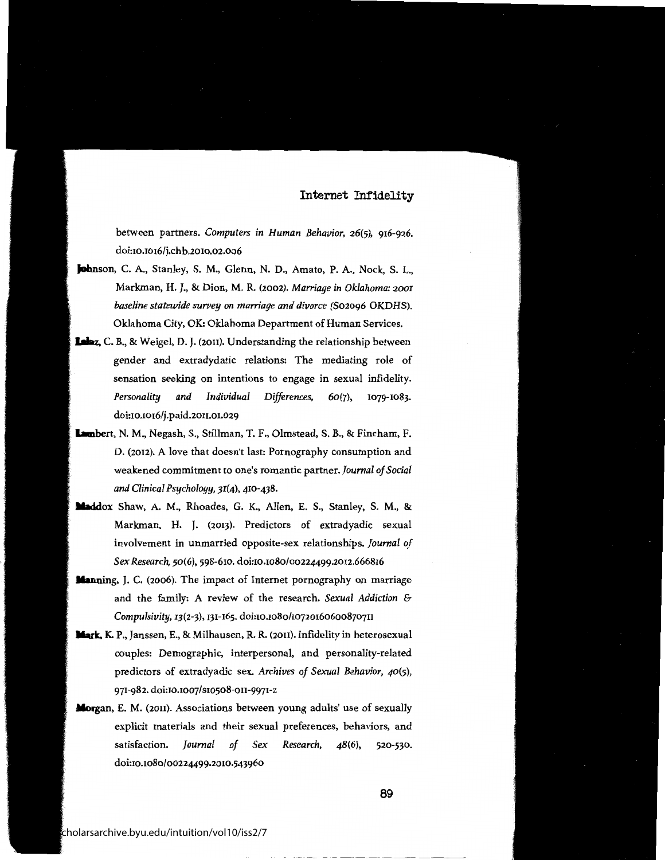between partners. *Computers in Human Behavior,* 26(5), 916-926. doi:10.1016/j.chb.2010.02.006

- **Johnson,** C. A., Stanley, S. M., Glenn, N. D., Amato, P.A., Nock, S. L., Markman, H.J., & Dion, M. R (2002). *Marriage in Oklahoma: 2001 baseline statewide survey on marriage and divorce* (S02096 OKDHS). Oklahoma City, OK: Oklahoma Department of Human Services.
- **lalaz,** C. B., & Weigel, D. J. (2011). Understanding the relationship between gender and extradydatic relations: The mediating role of sensation seeking on intentions to engage in sexual infidelity. *Personality and Individual Differences,* 60(7), 1079-1083. doi:10.1016/j.paid.2011.01.029
- **lambert,** N. M., Negash, S., Stillman, T. F., Olmstead, S. B., & Fincham, F. D. (2012). A love that doesn't last: Pornography consumption and weakened commitment to one's romantic partner. *Journal of Social and Clinical Psychology,* 31(4), 410-438.
- **lladdox** Shaw, A. M., Rhoades, G. K., Allen, E. S., Stanley, S. M., & Markman, H. J. (2013). Predictors of extradyadic sexual involvement in unmarried opposite-sex relationships. *Journal of Sex Research,* 50(6), 598-610. doi:10.1080/00224499.2012.666816
- **Manning,** J.C. (2006). The impact of Internet pornography on marriage and the family: A review of the research. *Sexual Addiction* & *Compulsivity,* 13(2-3), 131-165. doi:10.1080/107201606008707n
- **llark, K.** P., Janssen, E., & Milhausen, **R.R.** (20n). Infidelity in heterosexual couples: Demographic, interpersonal, and personality-related predictors of extradyadic sex. *Archives of Sexual Behavior,* 40(5), 971-982. doi:10.1007 / s10508-011-9971-z
- **Morgan,** E. M. (20n). Associations between young adults' use of sexually explicit materials and their sexual preferences, behaviors, and satisfaction. *Journal of Sex Research, 48(6),* 520-530. doi:10.1080/00224499.2010.543960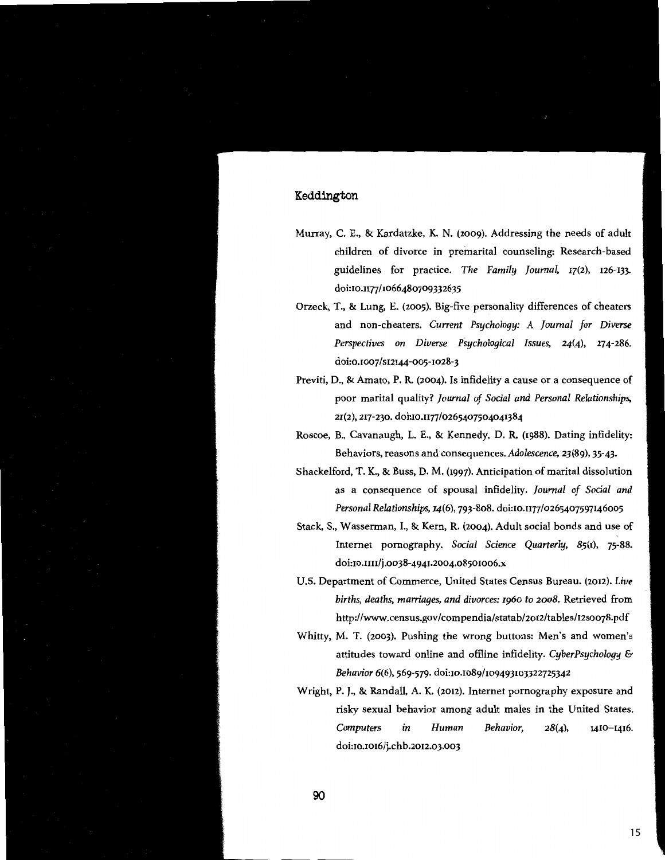- Murray, C. E., & Kardatzke, K. N. (2009). Addressing the needs of adult children of divorce in premarital counseling: Research-based guidelines for practice. *The Family Journal,* 17(2), 126-133 doi:10.n77/1066480709332635
- Orzeck, T., & Lung, E. (2005). Big-five personality differences of cheaters and non-cheaters. *Current Psychology: A Journal for Diverse Perspectives on Diverse Psychological Issues,* 24(4), 274-286. doi:0.1007/s12144-005-1028-3
- Previti, D., & Amato, P. R. (2004). Is infidelity a cause or a consequence of poor marital quality? *Journal of Social and Personal Relationships,*  21(2), 217-230. doi:10.n77/0265407504041384
- Roscoe, B., Cavanaugh, L. E., & Kennedy, D. R. (1988). Dating infidelity: Behaviors, reasons and consequences. *Adolescence,* 23(89), 35-43.
- Shackelford, T. K., & Buss, D. M. (1997). Anticipation of marital dissolution as a consequence of spousal infidelity. *Journal of Social and Personal Relationships,* 14(6), 793-808. doi:10.n77/0265407597146005
- Stack, S., Wasserman, I., & Kern, R. (2004). Adult social bonds and use of Internet pornography. *Social Science Quarterly,* 85(1), 75-88. doi:10.nn/j.0038-4941.2004.08501006.x
- U.S. Department of Commerce, United States Census Bureau. (2012). *Live births, deaths, marriages, and divorces:* 1960 *to* 2008. Retrieved from http://www.census.gov/compendia/statab/2o12/tables/I2soo78.pdf
- Whitty, M. T. (2003). Pushing the wrong buttons: Men's and women's attitudes toward online and ofiline infidelity. *CyberPsychology* & *Behavior* 6(6), 569-579. doi:10.1089/109493103322725342
- Wright, P. *].,* & Randall, A. K. (2012). Internet pornography exposure and risky sexual behavior among adult males in the United States. *Computers in Human Behavior,* 28(4), 1410-1416. doi:10.1016/j.chb.2012.03.003